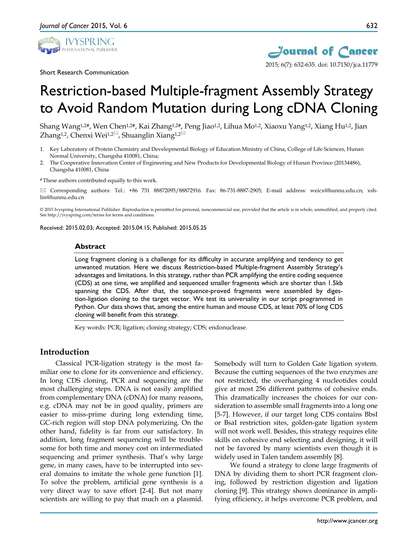

Short Research Communication



*Journal of Cancer* 2015; 6(7): 632-635. doi: 10.7150/jca.11779

# Restriction-based Multiple-fragment Assembly Strategy to Avoid Random Mutation during Long cDNA Cloning

Shang Wang<sup>1,2#</sup>, Wen Chen<sup>1,2#</sup>, Kai Zhang<sup>1,2#</sup>, Peng Jiao<sup>1,2</sup>, Lihua Mo<sup>1,2</sup>, Xiaoxu Yang<sup>1,2</sup>, Xiang Hu<sup>1,2</sup>, Jian Zhang<sup>1,2</sup>, Chenxi Wei<sup>1,2 $\text{M}$ , Shuanglin Xiang<sup>1,2 $\text{M}$ </sup></sup>

- 1. Key Laboratory of Protein Chemistry and Developmental Biology of Education Ministry of China, College of Life Sciences, Hunan Normal University, Changsha 410081, China;
- 2. The Cooperative Innovation Center of Engineering and New Products for Developmental Biology of Hunan Province (20134486), Changsha 410081, China

# These authors contributed equally to this work.

 $\boxtimes$  Corresponding authors: Tel.: +86 731 88872095/88872916. Fax: 86-731-8887-2905; E-mail address: weicx@hunnu.edu.cn; xshlin@hunnu.edu.cn

© 2015 Ivyspring International Publisher. Reproduction is permitted for personal, noncommercial use, provided that the article is in whole, unmodified, and properly cited. See http://ivyspring.com/terms for terms and conditions.

Received: 2015.02.03; Accepted: 2015.04.15; Published: 2015.05.25

#### **Abstract**

Long fragment cloning is a challenge for its difficulty in accurate amplifying and tendency to get unwanted mutation. Here we discuss Restriction-based Multiple-fragment Assembly Strategy's advantages and limitations. In this strategy, rather than PCR amplifying the entire coding sequence (CDS) at one time, we amplified and sequenced smaller fragments which are shorter than 1.5kb spanning the CDS. After that, the sequence-proved fragments were assembled by digestion-ligation cloning to the target vector. We test its universality in our script programmed in Python. Our data shows that, among the entire human and mouse CDS, at least 70% of long CDS cloning will benefit from this strategy.

Key words: PCR; ligation; cloning strategy; CDS; endonuclease.

#### **Introduction**

Classical PCR-ligation strategy is the most familiar one to clone for its convenience and efficiency. In long CDS cloning, PCR and sequencing are the most challenging steps. DNA is not easily amplified from complementary DNA (cDNA) for many reasons, e.g. cDNA may not be in good quality, primers are easier to miss-prime during long extending time, GC-rich region will stop DNA polymerizing. On the other hand, fidelity is far from our satisfactory. In addition, long fragment sequencing will be troublesome for both time and money cost on intermediated sequencing and primer synthesis. That's why large gene, in many cases, have to be interrupted into several domains to imitate the whole gene function [1]. To solve the problem, artificial gene synthesis is a very direct way to save effort [2-4]. But not many scientists are willing to pay that much on a plasmid.

Somebody will turn to Golden Gate ligation system. Because the cutting sequences of the two enzymes are not restricted, the overhanging 4 nucleotides could give at most 256 different patterns of cohesive ends. This dramatically increases the choices for our consideration to assemble small fragments into a long one [5-7]. However, if our target long CDS contains BbsI or BsaI restriction sites, golden-gate ligation system will not work well. Besides, this strategy requires elite skills on cohesive end selecting and designing, it will not be favored by many scientists even though it is widely used in Talen tandem assembly [8].

We found a strategy to clone large fragments of DNA by dividing them to short PCR fragment cloning, followed by restriction digestion and ligation cloning [9]. This strategy shows dominance in amplifying efficiency, it helps overcome PCR problem, and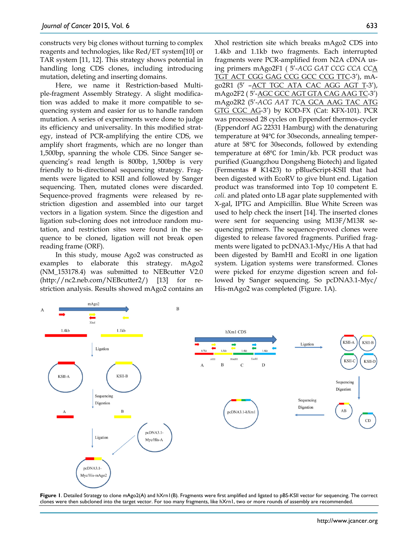constructs very big clones without turning to complex reagents and technologies, like Red/ET system[10] or TAR system [11, 12]. This strategy shows potential in handling long CDS clones, including introducing mutation, deleting and inserting domains.

Here, we name it Restriction-based Multiple-fragment Assembly Strategy. A slight modification was added to make it more compatible to sequencing system and easier for us to handle random mutation. A series of experiments were done to judge its efficiency and universality. In this modified strategy, instead of PCR-amplifying the entire CDS, we amplify short fragments, which are no longer than 1,500bp, spanning the whole CDS. Since Sanger sequencing's read length is 800bp, 1,500bp is very friendly to bi-directional sequencing strategy. Fragments were ligated to KSII and followed by Sanger sequencing. Then, mutated clones were discarded. Sequence-proved fragments were released by restriction digestion and assembled into our target vectors in a ligation system. Since the digestion and ligation sub-cloning does not introduce random mutation, and restriction sites were found in the sequence to be cloned, ligation will not break open reading frame (ORF).

In this study, mouse Ago2 was constructed as examples to elaborate this strategy. mAgo2 (NM\_153178.4) was submitted to NEBcutter V2.0  $(\text{http://nc2.net.com/NEBcutter2/})$  [13] for restriction analysis. Results showed mAgo2 contains an

XhoI restriction site which breaks mAgo2 CDS into 1.4kb and 1.1kb two fragments. Each interrupted fragments were PCR-amplified from N2A cDNA using primers mAgo2F1 ( 5'-*ACG GAT CCG CCA CC*A TGT ACT CGG GAG CCG GCC CCG TTC-3'), mAgo2R1 (5' –ACT TGC ATA CAC AGG AGT T-3'), mAgo2F2 ( 5'-AGC GCC AGT GTA CAG AAG TC-3') mAgo2R2 (5'-*ACG AAT TC*A GCA AAG TAC ATG GTG CGC AG-3') by KOD-FX (Cat: KFX-101). PCR was processed 28 cycles on Eppendorf thermos-cycler (Eppendorf AG 22331 Hamburg) with the denaturing temperature at 94℃ for 30seconds, annealing temperature at 58℃ for 30seconds, followed by extending temperature at 68℃ for 1min/kb. PCR product was purified (Guangzhou Dongsheng Biotech) and ligated (Fermentas # K1423) to pBlueScript-KSII that had been digested with EcoRV to give blunt end. Ligation product was transformed into Top 10 competent E. *coli.* and plated onto LB agar plate supplemented with X-gal, IPTG and Ampicillin. Blue White Screen was used to help check the insert [14]. The inserted clones were sent for sequencing using M13F/M13R sequencing primers. The sequence-proved clones were digested to release favored fragments. Purified fragments were ligated to pcDNA3.1-Myc/His A that had been digested by BamHI and EcoRI in one ligation system. Ligation systems were transformed. Clones were picked for enzyme digestion screen and followed by Sanger sequencing. So pcDNA3.1-Myc/ His-mAgo2 was completed (Figure. 1A).



**Figure 1**. Detailed Strategy to clone mAgo2(A) and hXrn1(B). Fragments were first amplified and ligated to pBS-KSII vector for sequencing. The correct clones were then subcloned into the target vector. For too many fragments, like hXrn1, two or more rounds of assembly are recommended.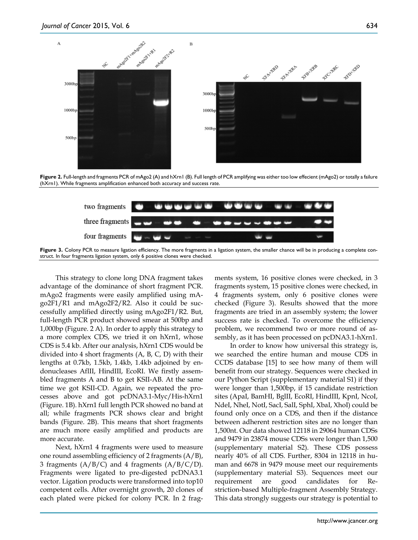

**Figure 2.** Full-length and fragments PCR of mAgo2 (A) and hXrn1 (B). Full length of PCR amplifying was either too low effecient (mAgo2) or totally a failure (hXrn1). While fragments amplification enhanced both accuracy and success rate.



Figure 3. Colony PCR to measure ligation efficiency. The more fragments in a ligation system, the smaller chance will be in producing a complete construct. In four fragments ligation system, only 6 positive clones were checked.

This strategy to clone long DNA fragment takes advantage of the dominance of short fragment PCR. mAgo2 fragments were easily amplified using mAgo2F1/R1 and mAgo2F2/R2. Also it could be successfully amplified directly using mAgo2F1/R2. But, full-length PCR product showed smear at 500bp and 1,000bp (Figure. 2 A). In order to apply this strategy to a more complex CDS, we tried it on hXrn1, whose CDS is 5.4 kb. After our analysis, hXrn1 CDS would be divided into 4 short fragments (A, B, C, D) with their lengths at 0.7kb, 1.5kb, 1.4kb, 1.4kb adjoined by endonucleases AflII, HindIII, EcoRI. We firstly assembled fragments A and B to get KSII-AB. At the same time we got KSII-CD. Again, we repeated the processes above and got pcDNA3.1-Myc/His-hXrn1 (Figure. 1B). hXrn1 full length PCR showed no band at all; while fragments PCR shows clear and bright bands (Figure. 2B). This means that short fragments are much more easily amplified and products are more accurate.

Next, hXrn1 4 fragments were used to measure one round assembling efficiency of 2 fragments  $(A/B)$ , 3 fragments  $(A/B/C)$  and 4 fragments  $(A/B/C/D)$ . Fragments were ligated to pre-digested pcDNA3.1 vector. Ligation products were transformed into top10 competent cells. After overnight growth, 20 clones of each plated were picked for colony PCR. In 2 fragments system, 16 positive clones were checked, in 3 fragments system, 15 positive clones were checked, in 4 fragments system, only 6 positive clones were checked (Figure 3). Results showed that the more fragments are tried in an assembly system; the lower success rate is checked. To overcome the efficiency problem, we recommend two or more round of assembly, as it has been processed on pcDNA3.1-hXrn1.

In order to know how universal this strategy is, we searched the entire human and mouse CDS in CCDS database [15] to see how many of them will benefit from our strategy. Sequences were checked in our Python Script (supplementary material S1) if they were longer than 1,500bp, if 15 candidate restriction sites (ApaI, BamHI, BglII, EcoRI, HindIII, KpnI, NcoI, NdeI, NheI, NotI, SacI, SalI, SphI, XbaI, XhoI) could be found only once on a CDS, and then if the distance between adherent restriction sites are no longer than 1,500nt. Our data showed 12118 in 29064 human CDSs and 9479 in 23874 mouse CDSs were longer than 1,500 (supplementary material S2). These CDS possess nearly 40% of all CDS. Further, 8304 in 12118 in human and 6678 in 9479 mouse meet our requirements (supplementary material S3). Sequences meet our requirement are good candidates for Restriction-based Multiple-fragment Assembly Strategy. This data strongly suggests our strategy is potential to